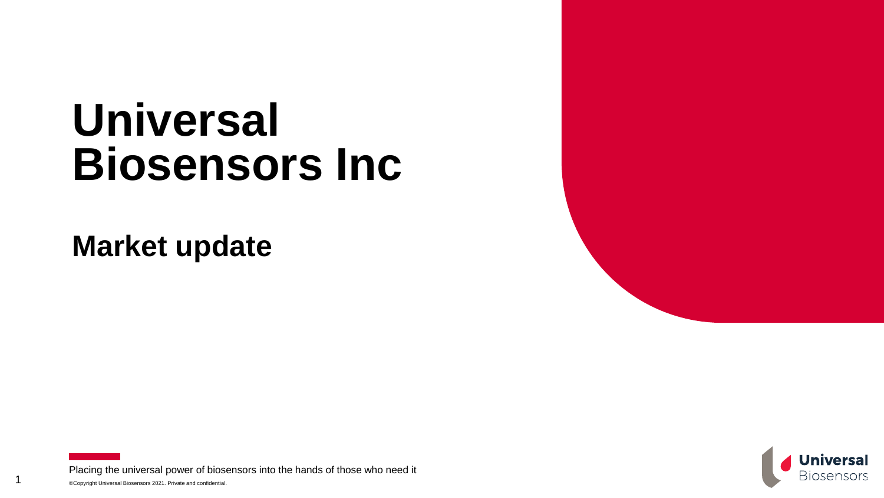# **Universal Biosensors Inc**

**Market update**

1



©Copyright Universal Biosensors 2021. Private and confidential. Placing the universal power of biosensors into the hands of those who need it

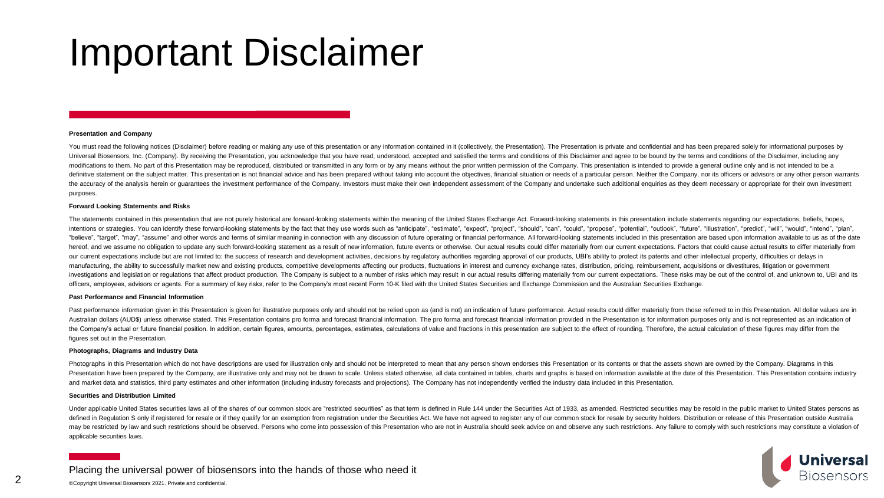## Important Disclaimer

#### **Presentation and Company**

You must read the following notices (Disclaimer) before reading or making any use of this presentation or any information contained in it (collectively, the Presentation). The Presentation is private and confidential and h Universal Biosensors, Inc. (Company). By receiving the Presentation, you acknowledge that you have read, understood, accepted and satisfied the terms and conditions of this Disclaimer and agree to be bound by the terms and modifications to them. No part of this Presentation may be reproduced, distributed or transmitted in any form or by any means without the prior written permission of the Company. This presentation is intended to provide a definitive statement on the subject matter. This presentation is not financial advice and has been prepared without taking into account the objectives, financial situation or needs of a particular person. Neither the Compa the accuracy of the analysis herein or quarantees the investment performance of the Company. Investors must make their own independent assessment of the Company and undertake such additional enquiries as they deem necessar purposes.

#### **Forward Looking Statements and Risks**

The statements contained in this presentation that are not purely historical are forward-looking statements within the meaning of the United States Exchange Act. Forward-looking statements in this presentation include stat intentions or strategies. You can identify these forward-looking statements by the fact that they use words such as "anticipate". "estimate". "expect". "project". "should". "can". "could". "propose". "potential". "outlook" "believe", "target", "may", "assume" and other words and terms of similar meaning in connection with any discussion of future operating or financial performance. All forward-looking statements included in this presentation hereof, and we assume no obligation to update any such forward-looking statement as a result of new information, future events or otherwise. Our actual results could differ materially from our current expectations. Factors our current expectations include but are not limited to: the success of research and development activities, decisions by regulatory authorities regarding approval of our products, UBI's ability to protect its patents and manufacturing, the ability to successfully market new and existing products, competitive developments affecting our products, fluctuations in interest and currency exchange rates, distribution, pricing, reimbursement, acqu investigations and legislation or regulations that affect product production. The Company is subject to a number of risks which may result in our actual results differing materially from our current expectations. These ris officers, employees, advisors or agents. For a summary of key risks, refer to the Company's most recent Form 10-K filed with the United States Securities and Exchange Commission and the Australian Securities Exchange.

#### **Past Performance and Financial Information**

Past performance information given in this Presentation is given for illustrative purposes only and should not be relied upon as (and is not) an indication of future performance. Actual results could differ materially from Australian dollars (AUD\$) unless otherwise stated. This Presentation contains pro forma and forecast financial information. The pro forma and forecast financial information provided in the Presentation is for information p the Company's actual or future financial position. In addition, certain figures, amounts, percentages, estimates, calculations of value and fractions in this presentation are subject to the effect of rounding. Therefore, t figures set out in the Presentation.

#### **Photographs, Diagrams and Industry Data**

Photographs in this Presentation which do not have descriptions are used for illustration only and should not be interpreted to mean that any person shown endorses this Presentation or its contents or that the assets shown Presentation have been prepared by the Company, are illustrative only and may not be drawn to scale. Unless stated otherwise, all data contained in tables, charts and qraphs is based on information available at the date of and market data and statistics, third party estimates and other information (including industry forecasts and projections). The Company has not independently verified the industry data included in this Presentation.

#### **Securities and Distribution Limited**

Under applicable United States securities laws all of the shares of our common stock are "restricted securities" as that term is defined in Rule 144 under the Securities Act of 1933, as amended. Restricted securities may b defined in Regulation S only if registered for resale or if they qualify for an exemption from registration under the Securities Act. We have not agreed to register any of our common stock for resale by security holders. D may be restricted by law and such restrictions should be observed. Persons who come into possession of this Presentation who are not in Australia should seek advice on and observe any such restrictions. Any failure to comp applicable securities laws.



Placing the universal power of biosensors into the hands of those who need it

©Copyright Universal Biosensors 2021. Private and confidential.

2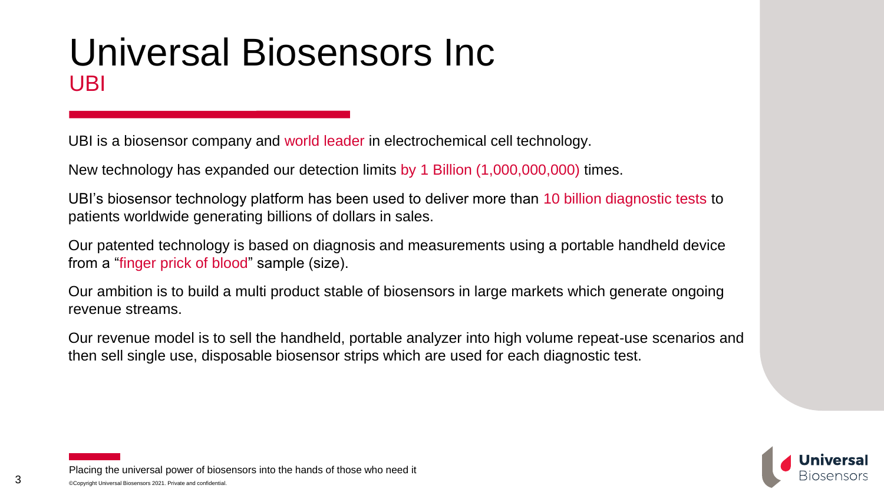### Universal Biosensors Inc UBI

UBI is a biosensor company and world leader in electrochemical cell technology.

New technology has expanded our detection limits by 1 Billion (1,000,000,000) times.

UBI's biosensor technology platform has been used to deliver more than 10 billion diagnostic tests to patients worldwide generating billions of dollars in sales.

Our patented technology is based on diagnosis and measurements using a portable handheld device from a "finger prick of blood" sample (size).

Our ambition is to build a multi product stable of biosensors in large markets which generate ongoing revenue streams.

Our revenue model is to sell the handheld, portable analyzer into high volume repeat-use scenarios and then sell single use, disposable biosensor strips which are used for each diagnostic test.



©Copyright Universal Biosensors 2021. Private and confidential. Placing the universal power of biosensors into the hands of those who need it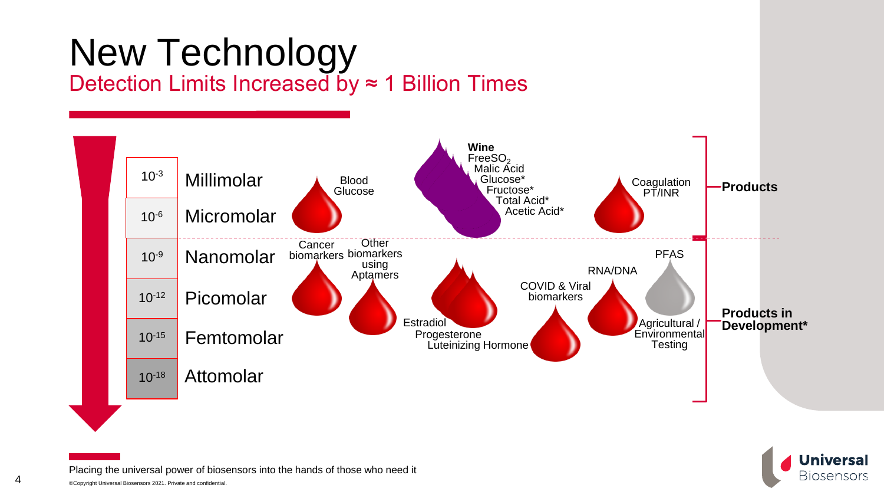## New Technology Detection Limits Increased by ≈ 1 Billion Times



**Universal Biosensors**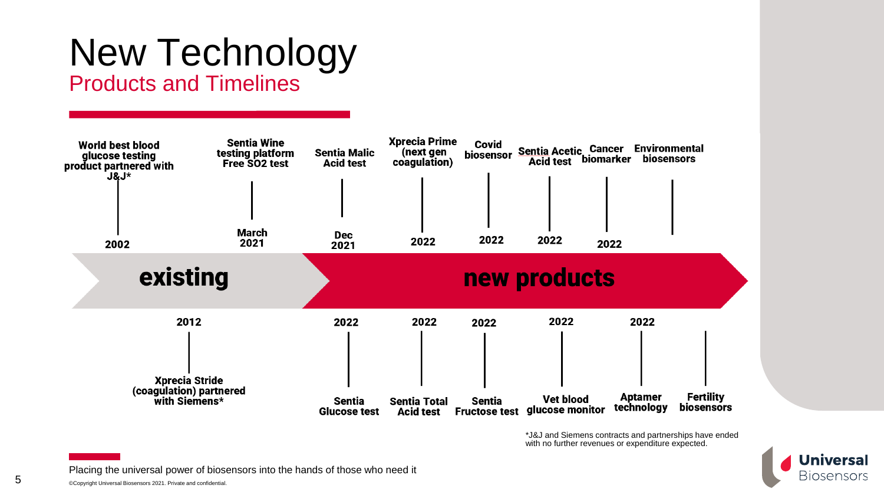### New Technology Products and Timelines

#### **Sentia Wine Xprecia Prime World best blood Covid** Covid<br>biosensor <u>Sentia</u> Acetic Cancer Environmental<br>Acid test biomarker biosensors testing platform **Sentia Malic** (next gen glucose testing Free SO<sub>2</sub> test **Acid test** coagulation) product partnered with ้J&J\* **March Dec** 2022 2022 2022 2021 2022 2002 2021 new products existing 2022 2012 2022 2022 2022 2022 **Xprecia Stride** (coagulation) partnered<br>with Siemens\* **Aptamer Fertility Vet blood** Sentia **Sentia Total** Sentia technology **biosensors** glucose monitor **Glucose test** Acid test **Fructose test**

\*J&J and Siemens contracts and partnerships have ended with no further revenues or expenditure expected.

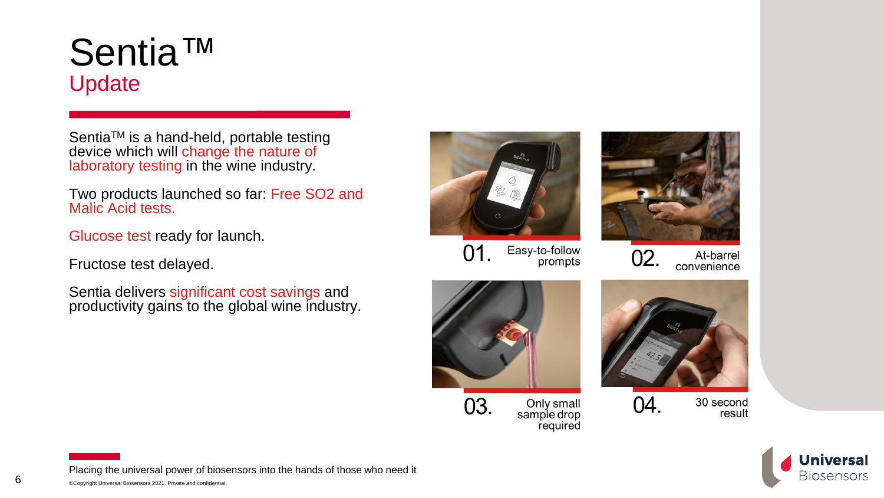## Sentia™ Update

Sentia<sup>™</sup> is a hand-held, portable testing device which will change the nature of laboratory testing in the wine industry.

Two products launched so far: Free SO2 and Malic Acid tests.

Glucose test ready for launch.

Fructose test delayed.

Sentia delivers significant cost savings and productivity gains to the global wine industry.



Easy-to-follow 01. prompts









30 second result

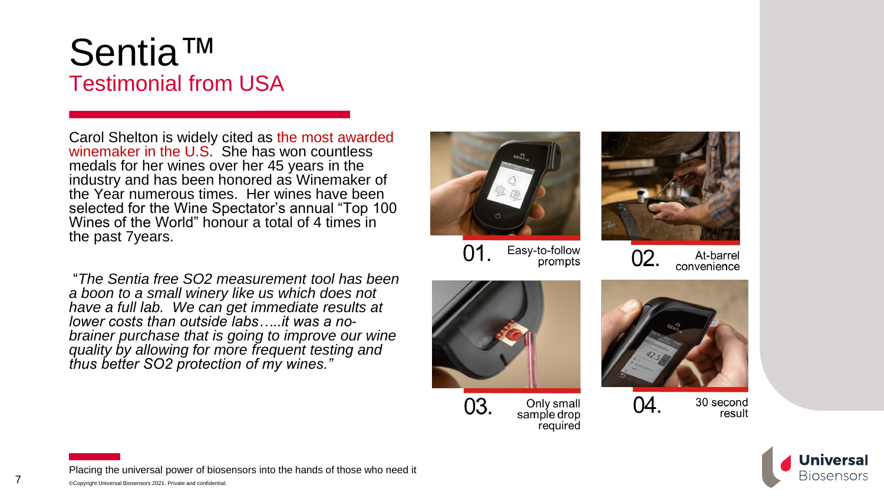## Sentia™ Testimonial from USA

Carol Shelton is widely cited as the most awarded winemaker in the U.S. She has won countless medals for her wines over her 45 years in the industry and has been honored as Winemaker of the Year numerous times. Her wines have been selected for the Wine Spectator's annual "Top 100 Wines of the World" honour a total of 4 times in the past 7years.

"*The Sentia free SO2 measurement tool has been a boon to a small winery like us which does not have a full lab. We can get immediate results at lower costs than outside labs…..it was a nobrainer purchase that is going to improve our wine quality by allowing for more frequent testing and thus better SO2 protection of my wines."*



Easy-to-follow 01. prompts



At-barrel convenience





Only small sample drop required



30 second result



Placing the universal power of biosensors into the hands of those who need it

7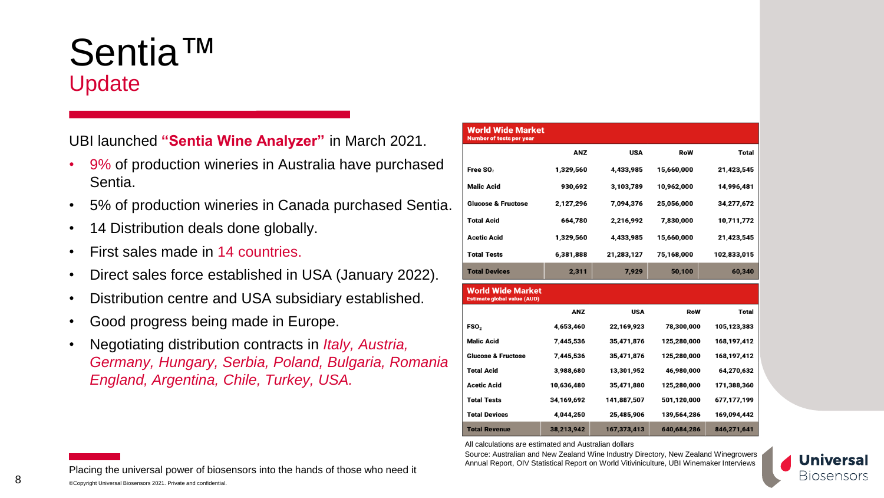## Sentia™ Update

UBI launched **"Sentia Wine Analyzer"** in March 2021.

- 9% of production wineries in Australia have purchased Sentia.
- 5% of production wineries in Canada purchased Sentia.
- 14 Distribution deals done globally.
- First sales made in 14 countries.
- Direct sales force established in USA (January 2022).
- Distribution centre and USA subsidiary established.
- Good progress being made in Europe.
- Negotiating distribution contracts in *Italy, Austria, Germany, Hungary, Serbia, Poland, Bulgaria, Romania England, Argentina, Chile, Turkey, USA.*

| <b>World Wide Market</b><br><b>Number of tests per year</b>                                                       |            |             |             |                                                                        |
|-------------------------------------------------------------------------------------------------------------------|------------|-------------|-------------|------------------------------------------------------------------------|
|                                                                                                                   | <b>ANZ</b> | USA         | RoW         | <b>Total</b>                                                           |
| Free SO <sub>2</sub>                                                                                              | 1,329,560  | 4,433,985   | 15,660,000  | 21,423,545                                                             |
| <b>Malic Acid</b>                                                                                                 | 930,692    | 3,103,789   | 10,962,000  | 14,996,481                                                             |
| <b>Glucose &amp; Fructose</b>                                                                                     | 2,127,296  | 7,094,376   | 25,056,000  | 34,277,672                                                             |
| <b>Total Acid</b>                                                                                                 | 664,780    | 2,216,992   | 7,830,000   | 10,711,772                                                             |
| <b>Acetic Acid</b>                                                                                                | 1,329,560  | 4,433,985   | 15,660,000  | 21,423,545                                                             |
| <b>Total Tests</b>                                                                                                | 6,381,888  | 21,283,127  | 75,168,000  | 102,833,015                                                            |
|                                                                                                                   |            |             |             |                                                                        |
|                                                                                                                   | 2,311      | 7,929       | 50,100      |                                                                        |
| <b>Total Devices</b><br><b>World Wide Market</b><br><b>Estimate global value (AUD)</b>                            |            |             |             |                                                                        |
|                                                                                                                   | <b>ANZ</b> | <b>USA</b>  | RoW         | 60,340<br><b>Total</b>                                                 |
|                                                                                                                   | 4,653,460  | 22,169,923  | 78,300,000  | 105,123,383                                                            |
|                                                                                                                   | 7,445,536  | 35,471,876  | 125,280,000 | 168,197,412                                                            |
|                                                                                                                   | 7,445,536  | 35,471,876  | 125,280,000 |                                                                        |
|                                                                                                                   | 3,988,680  | 13,301,952  | 46,980,000  |                                                                        |
| FSO <sub>2</sub><br><b>Malic Acid</b><br><b>Glucose &amp; Fructose</b><br><b>Total Acid</b><br><b>Acetic Acid</b> | 10,636,480 | 35,471,880  | 125,280,000 |                                                                        |
| <b>Total Tests</b>                                                                                                | 34,169,692 | 141,887,507 | 501,120,000 |                                                                        |
| <b>Total Devices</b>                                                                                              | 4,044,250  | 25,485,906  | 139,564,286 | 168,197,412<br>64,270,632<br>171,388,360<br>677,177,199<br>169,094,442 |

All calculations are estimated and Australian dollars

Source: Australian and New Zealand Wine Industry Directory, New Zealand Winegrowers Annual Report, OIV Statistical Report on World Vitiviniculture, UBI Winemaker Interviews



©Copyright Universal Biosensors 2021. Private and confidential. Placing the universal power of biosensors into the hands of those who need it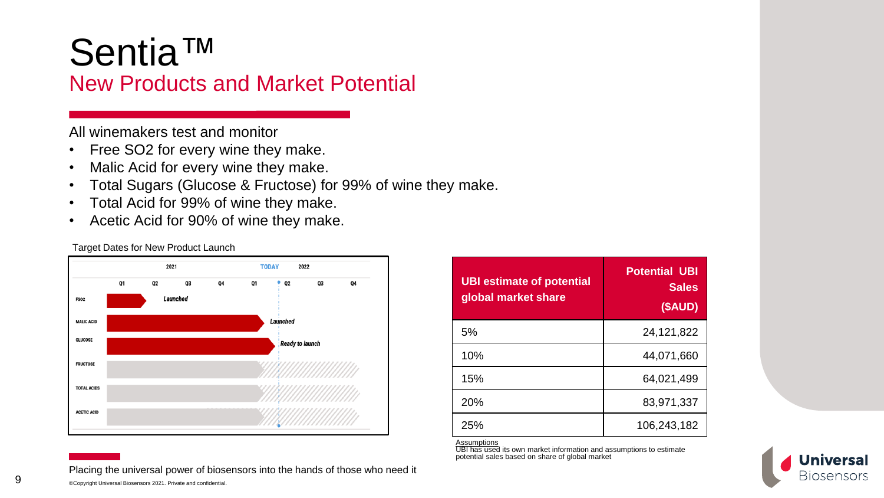## Sentia™

### New Products and Market Potential

All winemakers test and monitor

- Free SO2 for every wine they make.
- Malic Acid for every wine they make.
- Total Sugars (Glucose & Fructose) for 99% of wine they make.
- Total Acid for 99% of wine they make.
- Acetic Acid for 90% of wine they make.



Placing the universal power of biosensors into the hands of those who need it

**UBI estimate of potential global market share Potential UBI Sales (\$AUD)** 5% 24,121,822 10% 44,071,660 15% 64,021,499 20% 83,971,337 25% 106,243,182

Assumptions

UBI has used its own market information and assumptions to estimate potential sales based on share of global market



Target Dates for New Product Launch

9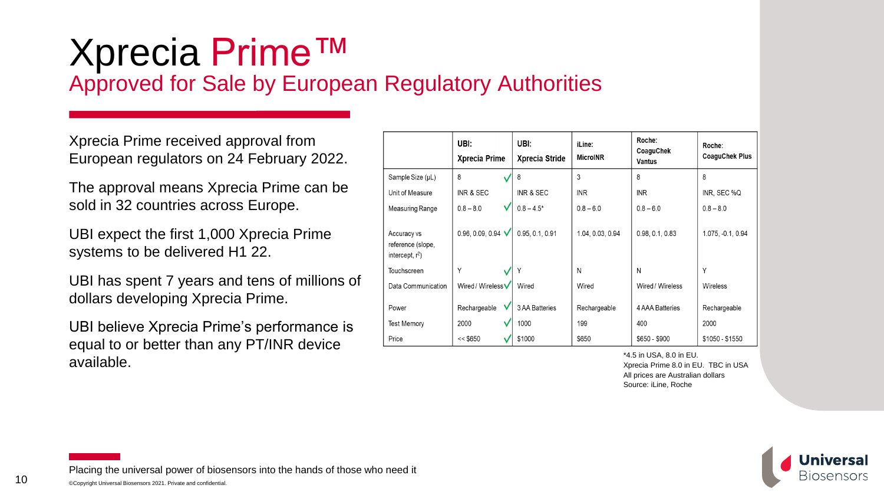### Xprecia Prime™ Approved for Sale by European Regulatory Authorities

Xprecia Prime received approval from European regulators on 24 February 2022.

The approval means Xprecia Prime can be sold in 32 countries across Europe.

UBI expect the first 1,000 Xprecia Prime systems to be delivered H1 22.

UBI has spent 7 years and tens of millions of dollars developing Xprecia Prime.

UBI believe Xprecia Prime's performance is equal to or better than any PT/INR device available.

|                                                        | UBI:<br><b>Xprecia Prime</b> | UBI:<br>Xprecia Stride | iLine:<br><b>MicroINR</b> | Roche:<br>CoaguChek<br><b>Vantus</b> | Roche:<br><b>CoaguChek Plus</b> |
|--------------------------------------------------------|------------------------------|------------------------|---------------------------|--------------------------------------|---------------------------------|
| Sample Size (µL)                                       | 8                            | 8                      | 3                         | 8                                    | 8                               |
| Unit of Measure                                        | INR & SEC                    | INR & SEC              | <b>INR</b>                | <b>INR</b>                           | INR, SEC %Q                     |
| Measuring Range                                        | V<br>$0.8 - 8.0$             | $0.8 - 4.5*$           | $0.8 - 6.0$               | $0.8 - 6.0$                          | $0.8 - 8.0$                     |
| Accuracy vs<br>reference (slope,<br>intercept, $r^2$ ) | 0.96, 0.09, 0.94 $\sqrt$     | 0.95, 0.1, 0.91        | 1.04, 0.03, 0.94          | 0.98, 0.1, 0.83                      | 1.075, -0.1, 0.94               |
| <b>Touchscreen</b>                                     | Υ                            | Υ                      | N                         | N                                    | Υ                               |
| Data Communication                                     | Wired / Wireless $\bm{\vee}$ | Wired                  | Wired                     | Wired / Wireless                     | <b>Wireless</b>                 |
| Power<br><b>Test Memory</b>                            | Rechargeable<br>2000         | 3 AA Batteries<br>1000 | Rechargeable<br>199       | 4 AAA Batteries<br>400               | Rechargeable<br>2000            |
| Price                                                  | $<<$ \$650                   | \$1000                 | \$650                     | $$650 - $900$                        | $$1050 - $1550$                 |

\*4.5 in USA, 8.0 in EU. Xprecia Prime 8.0 in EU. TBC in USA All prices are Australian dollars Source: iLine, Roche

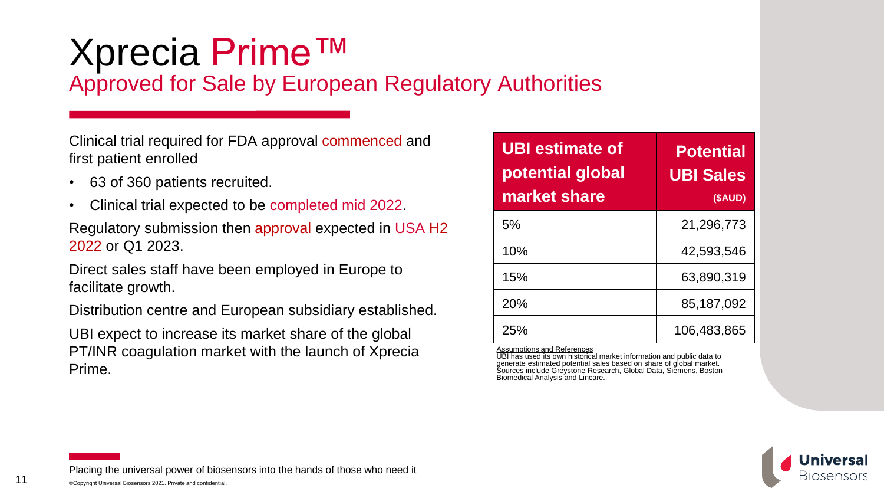# Xprecia Prime™

Approved for Sale by European Regulatory Authorities

Clinical trial required for FDA approval commenced and first patient enrolled

- 63 of 360 patients recruited.
- Clinical trial expected to be completed mid 2022.

Regulatory submission then approval expected in USA H2 2022 or Q1 2023.

Direct sales staff have been employed in Europe to facilitate growth.

Distribution centre and European subsidiary established.

UBI expect to increase its market share of the global PT/INR coagulation market with the launch of Xprecia Prime.

| <b>UBI</b> estimate of<br>potential global<br>market share | <b>Potential</b><br><b>UBI Sales</b><br>(\$AUD) |
|------------------------------------------------------------|-------------------------------------------------|
| 5%                                                         | 21,296,773                                      |
| 10%                                                        | 42,593,546                                      |
| 15%                                                        | 63,890,319                                      |
| 20%                                                        | 85,187,092                                      |
| 25%                                                        | 106,483,865                                     |

Assumptions and References UBI has used its own historical market information and public data to generate estimated potential sales based on share of global market. Sources include Greystone Research, Global Data, Siemens, Boston Biomedical Analysis and Lincare.

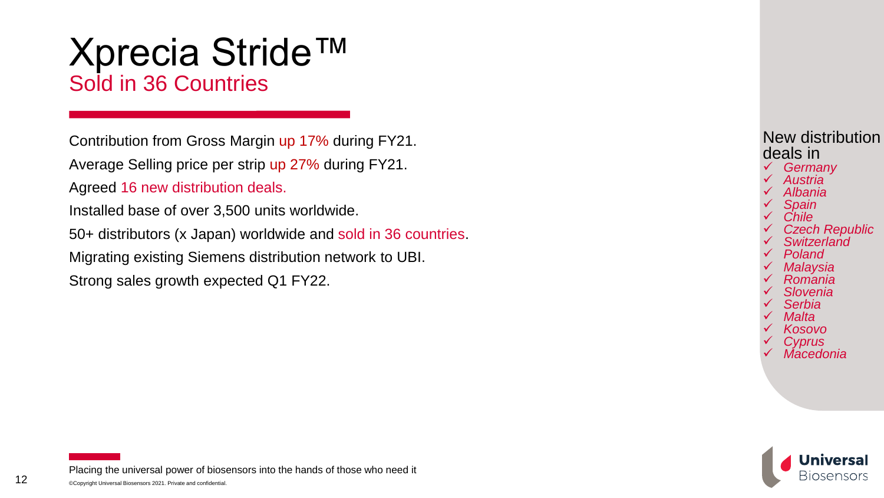### Xprecia Stride™ Sold in 36 Countries

Contribution from Gross Margin up 17% during FY21. Average Selling price per strip up 27% during FY21. Agreed 16 new distribution deals.

Installed base of over 3,500 units worldwide.

50+ distributors (x Japan) worldwide and sold in 36 countries .

Migrating existing Siemens distribution network to UBI.

Strong sales growth expected Q1 FY22.



- 
- 
- 
- 
- 
- 
- 
- 
- 
- 
- 
- 
- 

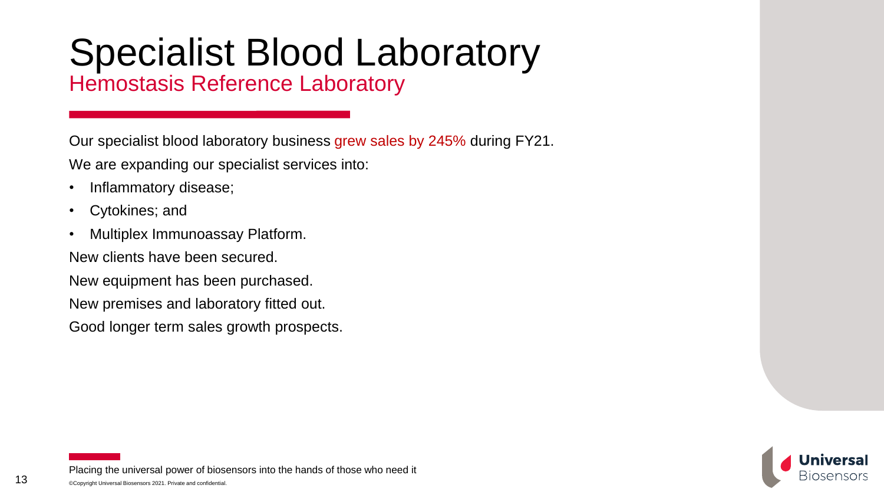# Specialist Blood Laboratory

Hemostasis Reference Laboratory

Our specialist blood laboratory business grew sales by 245% during FY21.

We are expanding our specialist services into:

- Inflammatory disease;
- Cytokines; and
- Multiplex Immunoassay Platform.

New clients have been secured.

New equipment has been purchased.

New premises and laboratory fitted out.

Good longer term sales growth prospects.

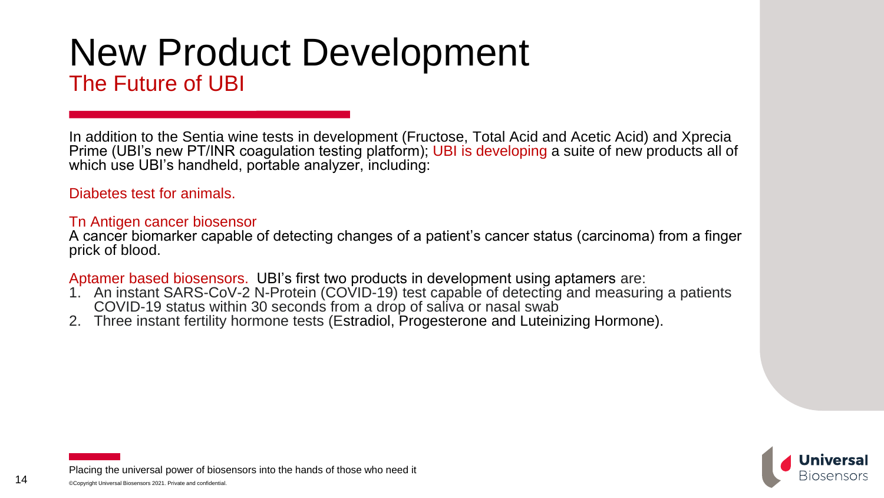### New Product Development The Future of UBI

In addition to the Sentia wine tests in development (Fructose, Total Acid and Acetic Acid) and Xprecia Prime (UBI's new PT/INR coagulation testing platform); UBI is developing a suite of new products all of which use UBI's handheld, portable analyzer, including:

Diabetes test for animals.

#### Tn Antigen cancer biosensor

A cancer biomarker capable of detecting changes of a patient's cancer status (carcinoma) from a finger prick of blood.

Aptamer based biosensors. UBI's first two products in development using aptamers are:

- 1. An instant SARS-CoV-2 N-Protein (COVID-19) test capable of detecting and measuring a patients COVID-19 status within 30 seconds from a drop of saliva or nasal swab
- 2. Three instant fertility hormone tests (Estradiol, Progesterone and Luteinizing Hormone).

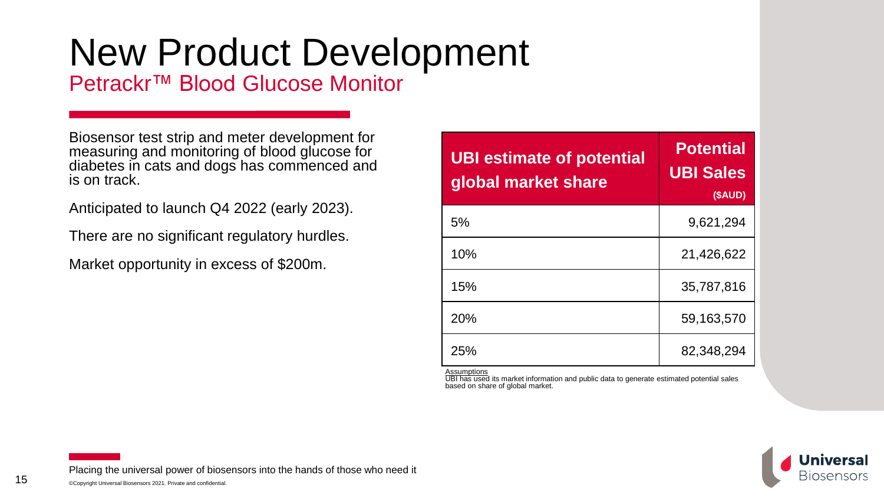Petrackr™ Blood Glucose Monitor

Biosensor test strip and meter development for measuring and monitoring of blood glucose for diabetes in cats and dogs has commenced and is on track.

Anticipated to launch Q4 2022 (early 2023).

There are no significant regulatory hurdles.

Market opportunity in excess of \$200m.

| <b>UBI estimate of potential</b><br>global market share | <b>Potential</b><br><b>UBI Sales</b><br>(\$AUD) |
|---------------------------------------------------------|-------------------------------------------------|
| 5%                                                      | 9,621,294                                       |
| 10%                                                     | 21,426,622                                      |
| 15%                                                     | 35,787,816                                      |
| 20%                                                     | 59,163,570                                      |
| 25%                                                     | 82,348,294                                      |

Assumptions

UBI has used its market information and public data to generate estimated potential sales based on share of global market.

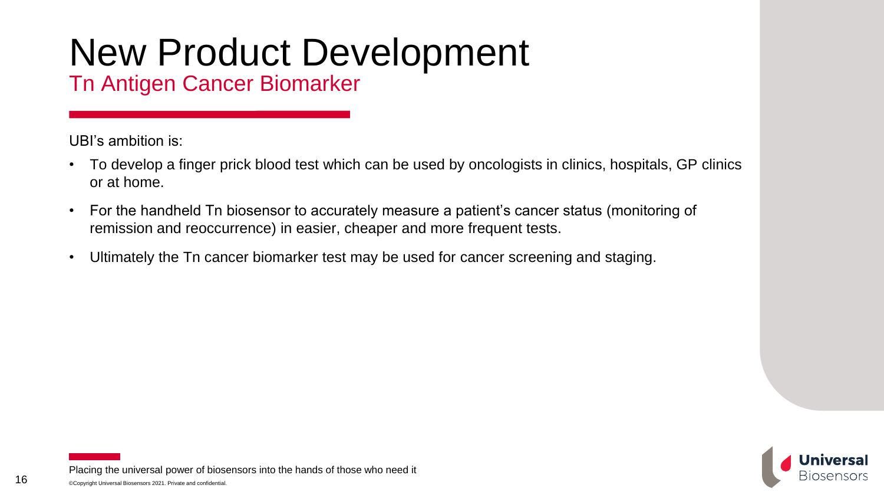Tn Antigen Cancer Biomarker

UBI's ambition is:

- To develop a finger prick blood test which can be used by oncologists in clinics, hospitals, GP clinics or at home.
- For the handheld Tn biosensor to accurately measure a patient's cancer status (monitoring of remission and reoccurrence) in easier, cheaper and more frequent tests.
- Ultimately the Tn cancer biomarker test may be used for cancer screening and staging.

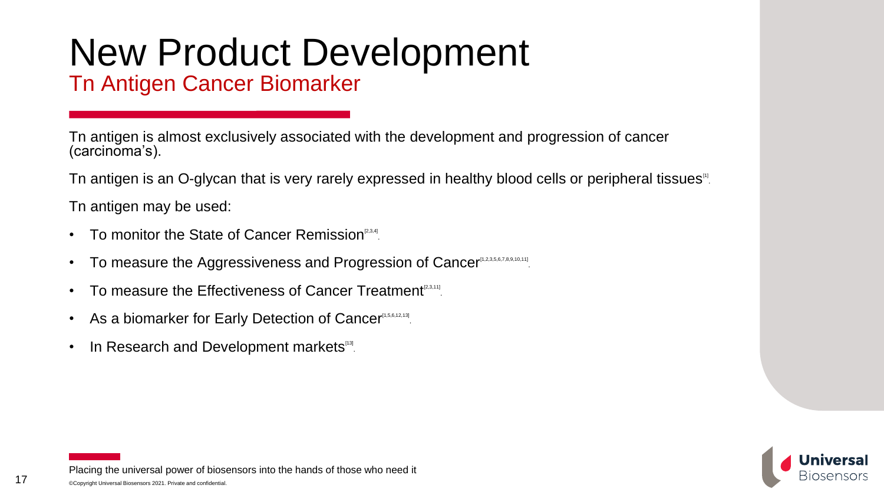Tn Antigen Cancer Biomarker

Tn antigen is almost exclusively associated with the development and progression of cancer (carcinoma's).

Tn antigen is an O-glycan that is very rarely expressed in healthy blood cells or peripheral tissues<sup>11</sup>.

Tn antigen may be used:

- To monitor the State of Cancer Remission<sup>[2,3,4]</sup>.
- To measure the Aggressiveness and Progression of Cancer<sup>[1,2,3,5,6,7,8,9,10,11]</sup>.
- To measure the Effectiveness of Cancer Treatment<sup>[2,3,11]</sup>.
- As a biomarker for Early Detection of Cancer<sup>[1,5,6,12,13]</sup>.
- In Research and Development markets<sup>139</sup>.

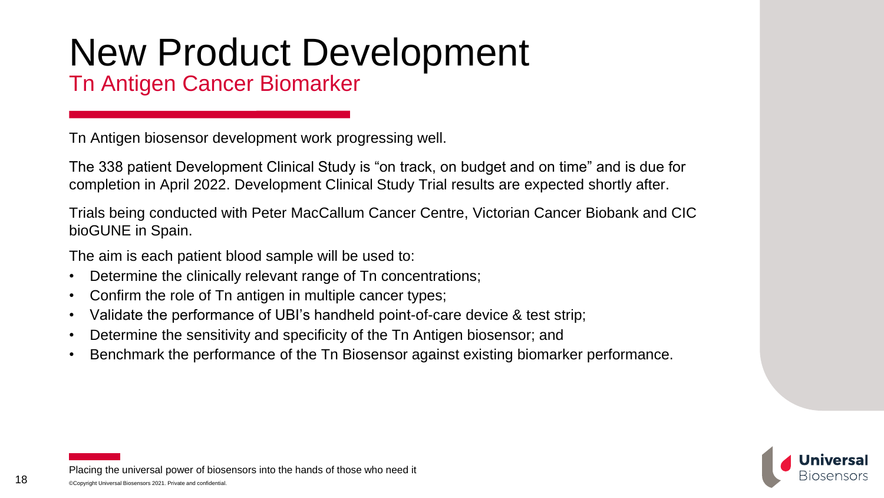Tn Antigen Cancer Biomarker

Tn Antigen biosensor development work progressing well.

The 338 patient Development Clinical Study is "on track, on budget and on time" and is due for completion in April 2022. Development Clinical Study Trial results are expected shortly after.

Trials being conducted with Peter MacCallum Cancer Centre, Victorian Cancer Biobank and CIC bioGUNE in Spain.

The aim is each patient blood sample will be used to:

- Determine the clinically relevant range of Tn concentrations;
- Confirm the role of Tn antigen in multiple cancer types;
- Validate the performance of UBI's handheld point-of-care device & test strip;
- Determine the sensitivity and specificity of the Tn Antigen biosensor; and
- Benchmark the performance of the Tn Biosensor against existing biomarker performance.

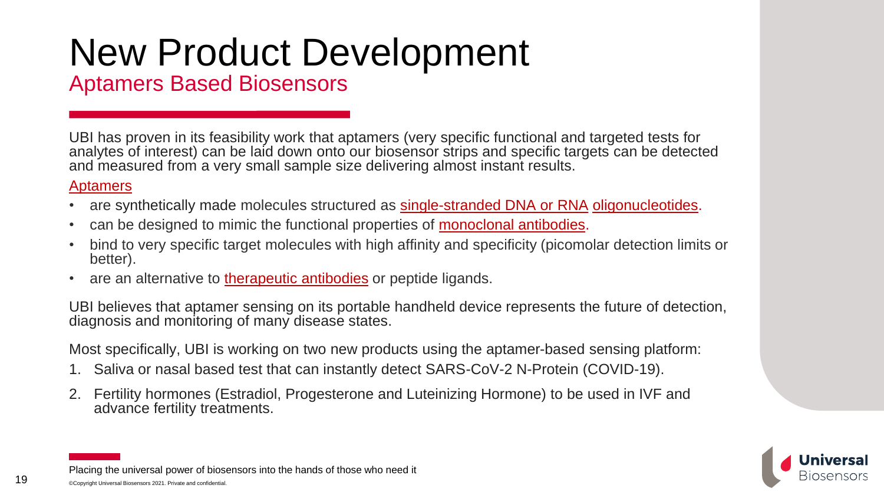### Aptamers Based Biosensors

UBI has proven in its feasibility work that aptamers (very specific functional and targeted tests for analytes of interest) can be laid down onto our biosensor strips and specific targets can be detected and measured from a very small sample size delivering almost instant results.

### [Aptamers](https://www.sciencedirect.com/topics/pharmacology-toxicology-and-pharmaceutical-science/aptamer)

- are synthetically made molecules structured as [single-stranded DNA or RNA](https://www.sciencedirect.com/topics/pharmacology-toxicology-and-pharmaceutical-science/single-stranded-rna) [oligonucleotides](https://www.sciencedirect.com/topics/biochemistry-genetics-and-molecular-biology/oligonucleotide).
- can be designed to mimic the functional properties of **monoclonal antibodies**.
- bind to very specific target molecules with high affinity and specificity (picomolar detection limits or better).
- are an alternative to [therapeutic antibodies](https://www.sciencedirect.com/topics/biochemistry-genetics-and-molecular-biology/therapeutic-antibodies) or peptide ligands.

UBI believes that aptamer sensing on its portable handheld device represents the future of detection, diagnosis and monitoring of many disease states.

Most specifically, UBI is working on two new products using the aptamer-based sensing platform:

- 1. Saliva or nasal based test that can instantly detect SARS-CoV-2 N-Protein (COVID-19).
- 2. Fertility hormones (Estradiol, Progesterone and Luteinizing Hormone) to be used in IVF and advance fertility treatments.

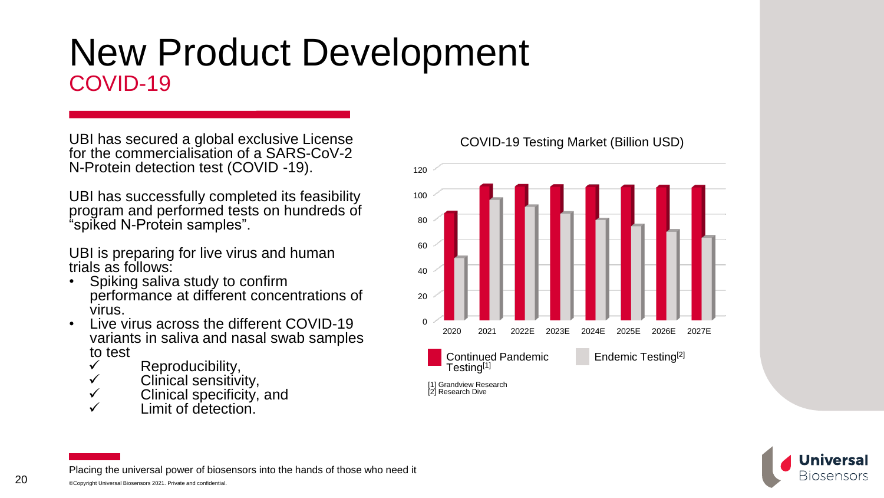## New Product Development COVID-19

UBI has secured a global exclusive License for the commercialisation of a SARS-CoV-2 N-Protein detection test (COVID -19).

UBI has successfully completed its feasibility program and performed tests on hundreds of "spiked N-Protein samples".

UBI is preparing for live virus and human trials as follows:

- Spiking saliva study to confirm performance at different concentrations of virus.
- Live virus across the different COVID-19 variants in saliva and nasal swab samples to test
	- $\checkmark$  Reproducibility,
	- $\checkmark$  Clinical sensitivity,
	- $\checkmark$  Clinical specificity, and
	- Limit of detection.

COVID-19 Testing Market (Billion USD)



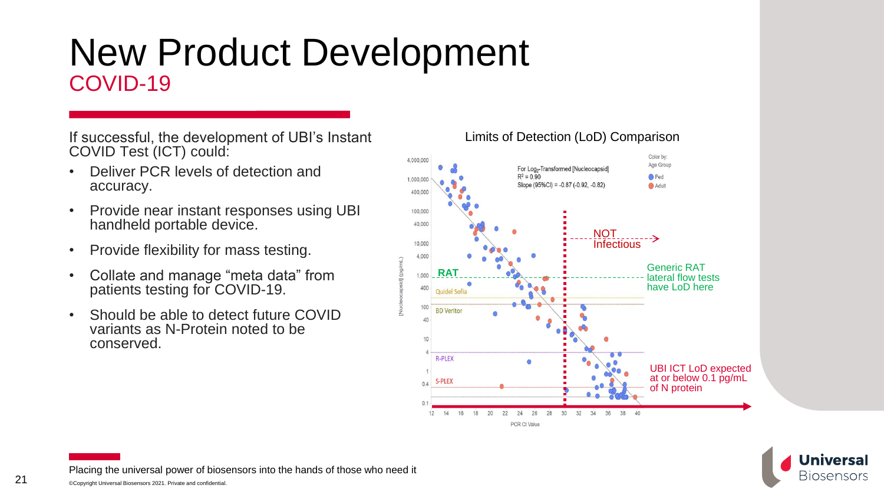## New Product Development COVID-19

If successful, the development of UBI's Instant COVID Test (ICT) could:

- Deliver PCR levels of detection and accuracy.
- Provide near instant responses using UBI handheld portable device.
- Provide flexibility for mass testing.
- Collate and manage "meta data" from patients testing for COVID-19.
- Should be able to detect future COVID variants as N-Protein noted to be conserved.

#### Color by: 4.000.000 Age Group For Log<sub>2</sub>-Transformed [Nucleocapsid]  $R^2 = 0.90$ O Ped 1,000,00 Slope (95%Cl) =  $-0.87$  ( $-0.92$ ,  $-0.82$ ) Adult 400.000 100,000 40,000 **NOT** ING L<sub>ough</sub> 10,000 4.000 Generic RAT **RAT** lateral flow tests have LoD here 400 Quidel Sofia  $100 -$ **BD** Veritor  $\Delta \Omega$ **R-PLEX** UBI ICT LoD expected at or below 0.1 pg/mL S-PLEX  $0.4$ of N protein  $12$ 20 22 24 26 28 30  $32$  $34$ 36 38 14 16 40 PCR Ct Value

Limits of Detection (LoD) Comparison

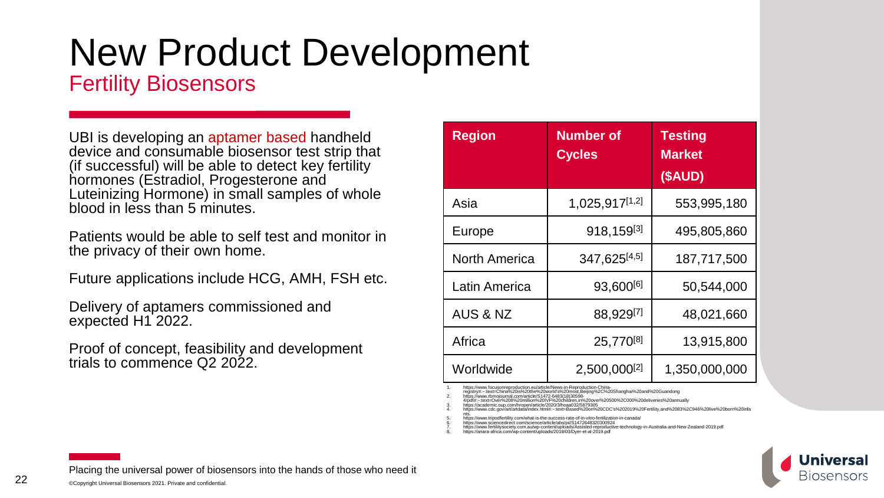### Fertility Biosensors

UBI is developing an aptamer based handheld device and consumable biosensor test strip that (if successful) will be able to detect key fertility hormones (Estradiol, Progesterone and Luteinizing Hormone) in small samples of whole blood in less than 5 minutes.

Patients would be able to self test and monitor in the privacy of their own home.

Future applications include HCG, AMH, FSH etc.

Delivery of aptamers commissioned and expected H1 2022.

Proof of concept, feasibility and development trials to commence Q2 2022.

| <b>Region</b>        | <b>Number of</b><br><b>Cycles</b> | <b>Testing</b><br><b>Market</b><br>(SAUD) |
|----------------------|-----------------------------------|-------------------------------------------|
|                      |                                   |                                           |
| Asia                 | 1,025,917[1,2]                    | 553,995,180                               |
| Europe               | 918,159[3]                        | 495,805,860                               |
| <b>North America</b> | 347,625[4,5]                      | 187,717,500                               |
| Latin America        | 93,600[6]                         | 50,544,000                                |
| <b>AUS &amp; NZ</b>  | 88,929 <sup>[7]</sup>             | 48,021,660                                |
| Africa               | 25,770[8]                         | 13,915,800                                |
| Worldwide            | 2,500,000 <sup>[2]</sup>          | 1,350,000,000                             |

1. https://www.focusonreproduction.eu/article/News-in-Reproduction-China-registry#:~:text=China%20is%20the%20world's%20most,Beijing%2C%20Shanghai%20and%20Guandong

2. https://www.rbmojournal.com/article/S1472-6483(18)30598-<br>4/pdf#:~:text=Over%208%20million%20IVF%20children,in%20over%20500%2C000%20deliveries%20annually<br>3. https://academic.oup.com/hropen/article/2020/3/hoaa032/5879305

1ttps://www.cdc.gov/art/artdata/index.html#:~:text=Based%20on%20CDC's%20201

nts. 5. https://www.tripodfertility.com/what-is-the-success-rate-of-in-vitro-fertilization-in-canada/

6. https://www.sciencedirect.com/science/article/abs/pii/S1472648320300924<br>7. https://www.feriilitysociety.com.au/wp-content/uploads/Assisted-reproductive-technology-in-Australia-and-New-Zealand-2019.pdf<br>8. https://anara-a

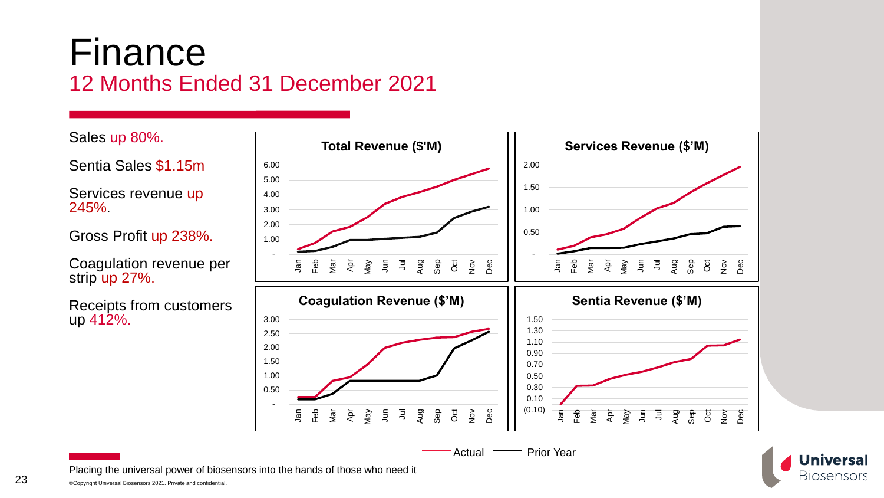### Finance 12 Months Ended 31 December 2021

Sales up 80%.

Sentia Sales \$1.15m

Services revenue up 245%.

Gross Profit up 238%.

Coagulation revenue per strip up 27%.

Receipts from customers up 412%.



**Universal Biosensors**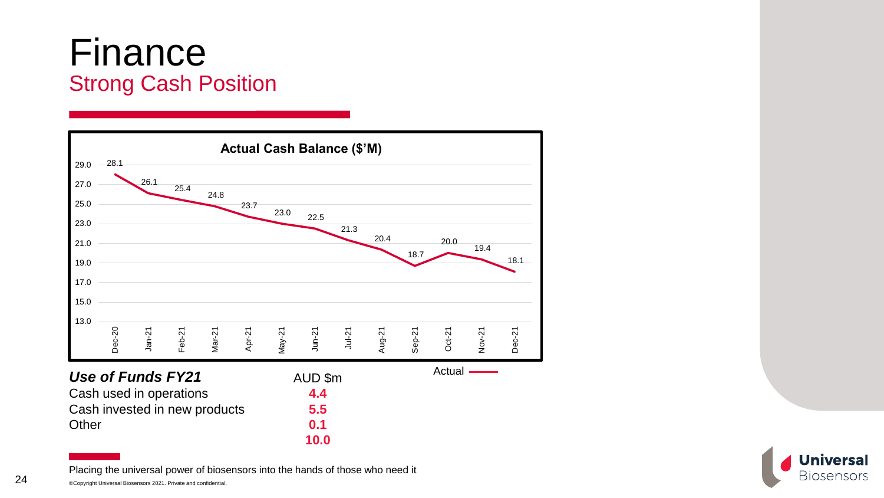### Finance Strong Cash Position



Placing the universal power of biosensors into the hands of those who need it

©Copyright Universal Biosensors 2021. Private and confidential.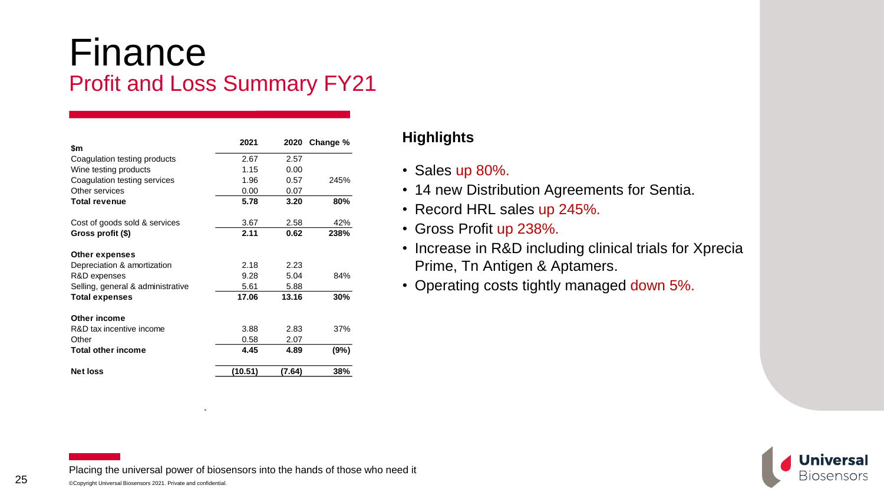### Finance Profit and Loss Summary FY21

| \$m                               | 2021    | 2020   | Change % |
|-----------------------------------|---------|--------|----------|
| Coagulation testing products      | 2.67    | 2.57   |          |
| Wine testing products             | 1.15    | 0.00   |          |
| Coagulation testing services      | 1.96    | 0.57   | 245%     |
| Other services                    | 0.00    | 0.07   |          |
| <b>Total revenue</b>              | 5.78    | 3.20   | 80%      |
| Cost of goods sold & services     | 3.67    | 2.58   | 42%      |
| Gross profit (\$)                 | 2.11    | 0.62   | 238%     |
| Other expenses                    |         |        |          |
| Depreciation & amortization       | 2.18    | 2.23   |          |
| R&D expenses                      | 9.28    | 5.04   | 84%      |
| Selling, general & administrative | 5.61    | 5.88   |          |
| <b>Total expenses</b>             | 17.06   | 13.16  | 30%      |
| Other income                      |         |        |          |
| R&D tax incentive income          | 3.88    | 2.83   | 37%      |
| Other                             | 0.58    | 2.07   |          |
| <b>Total other income</b>         | 4.45    | 4.89   | (9%)     |
| <b>Net loss</b>                   | (10.51) | (7.64) | 38%      |

### **Highlights**

- Sales up 80%.
- 14 new Distribution Agreements for Sentia.
- Record HRL sales up 245%.
- Gross Profit up 238%.
- Increase in R&D including clinical trials for Xprecia Prime, Tn Antigen & Aptamers.
- Operating costs tightly managed down 5%.

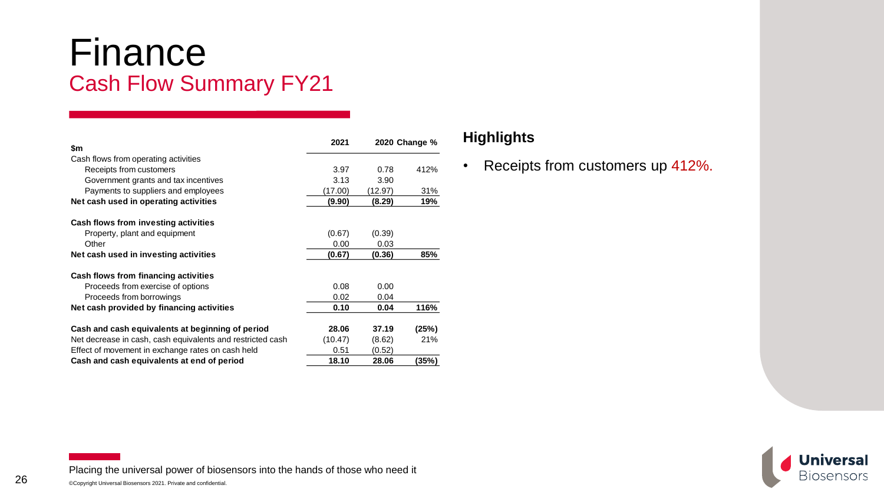### Finance Cash Flow Summary FY21

| \$m                                                        | 2021    |         | 2020 Change % |
|------------------------------------------------------------|---------|---------|---------------|
| Cash flows from operating activities                       |         |         |               |
| Receipts from customers                                    | 3.97    | 0.78    | 412%          |
| Government grants and tax incentives                       | 3.13    | 3.90    |               |
| Payments to suppliers and employees                        | (17.00) | (12.97) | 31%           |
| Net cash used in operating activities                      | (9.90)  | (8.29)  | 19%           |
| Cash flows from investing activities                       |         |         |               |
| Property, plant and equipment                              | (0.67)  | (0.39)  |               |
| Other                                                      | 0.00    | 0.03    |               |
| Net cash used in investing activities                      | (0.67)  | (0.36)  | 85%           |
| Cash flows from financing activities                       |         |         |               |
| Proceeds from exercise of options                          | 0.08    | 0.00    |               |
| Proceeds from borrowings                                   | 0.02    | 0.04    |               |
| Net cash provided by financing activities                  | 0.10    | 0.04    | 116%          |
| Cash and cash equivalents at beginning of period           | 28.06   | 37.19   | (25%)         |
| Net decrease in cash, cash equivalents and restricted cash | (10.47) | (8.62)  | 21%           |
| Effect of movement in exchange rates on cash held          | 0.51    | (0.52)  |               |
| Cash and cash equivalents at end of period                 | 18.10   | 28.06   | (35%)         |

### **Highlights**

• Receipts from customers up 412%.



Placing the universal power of biosensors into the hands of those who need it

26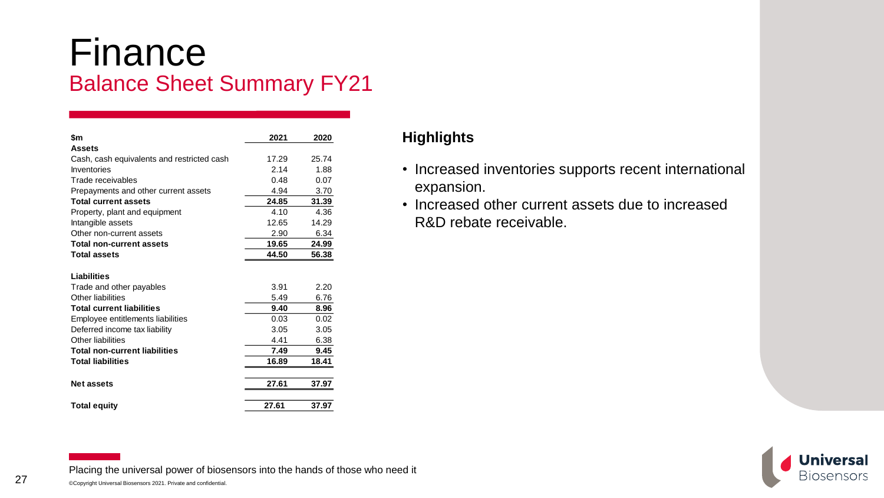### Finance Balance Sheet Summary FY21

| \$m                                        | 2021  | 2020  |
|--------------------------------------------|-------|-------|
| <b>Assets</b>                              |       |       |
| Cash, cash equivalents and restricted cash | 17.29 | 25.74 |
| Inventories                                | 2.14  | 1.88  |
| Trade receivables                          | 0.48  | 0.07  |
| Prepayments and other current assets       | 4.94  | 3.70  |
| <b>Total current assets</b>                | 24.85 | 31.39 |
| Property, plant and equipment              | 4.10  | 4.36  |
| Intangible assets                          | 12.65 | 14.29 |
| Other non-current assets                   | 2.90  | 6.34  |
| <b>Total non-current assets</b>            | 19.65 | 24.99 |
| <b>Total assets</b>                        | 44.50 | 56.38 |
|                                            |       |       |
| Liabilities                                |       |       |
| Trade and other payables                   | 3.91  | 2.20  |
| Other liabilities                          | 5.49  | 6.76  |
| <b>Total current liabilities</b>           | 9.40  | 8.96  |
| Employee entitlements liabilities          | 0.03  | 0.02  |
| Deferred income tax liability              | 3.05  | 3.05  |
| Other liabilities                          | 4.41  | 6.38  |
| <b>Total non-current liabilities</b>       | 7.49  | 9.45  |
| <b>Total liabilities</b>                   | 16.89 | 18.41 |
|                                            |       |       |
| <b>Net assets</b>                          | 27.61 | 37.97 |
|                                            |       |       |
| <b>Total equity</b>                        | 27.61 | 37.97 |

### **Highlights**

- Increased inventories supports recent international expansion.
- Increased other current assets due to increased R&D rebate receivable.

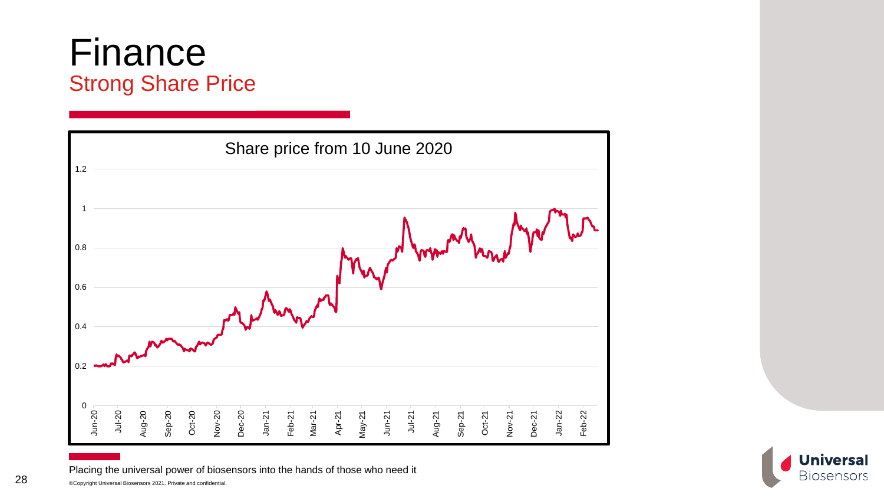### Finance Strong Share Price

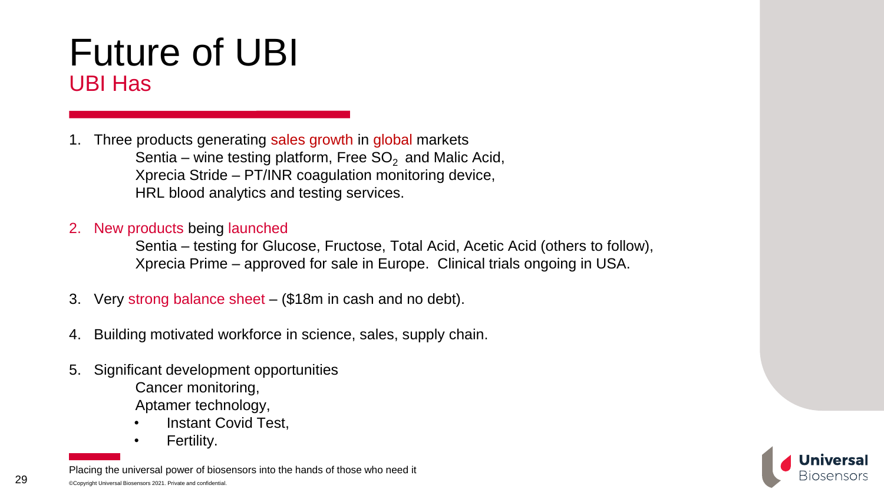## Future of UBI UBI Has

- Three products generating sales growth in global markets Sentia – wine testing platform, Free  $SO<sub>2</sub>$  and Malic Acid, Xprecia Stride – PT/INR coagulation monitoring device, HRL blood analytics and testing services.
- 2. New products being launched

Sentia – testing for Glucose, Fructose, Total Acid, Acetic Acid (others to follow), Xprecia Prime – approved for sale in Europe. Clinical trials ongoing in USA.

- 3. Very strong balance sheet (\$18m in cash and no debt).
- 4. Building motivated workforce in science, sales, supply chain.
- 5. Significant development opportunities Cancer monitoring, Aptamer technology,
	- Instant Covid Test,
	- Fertility.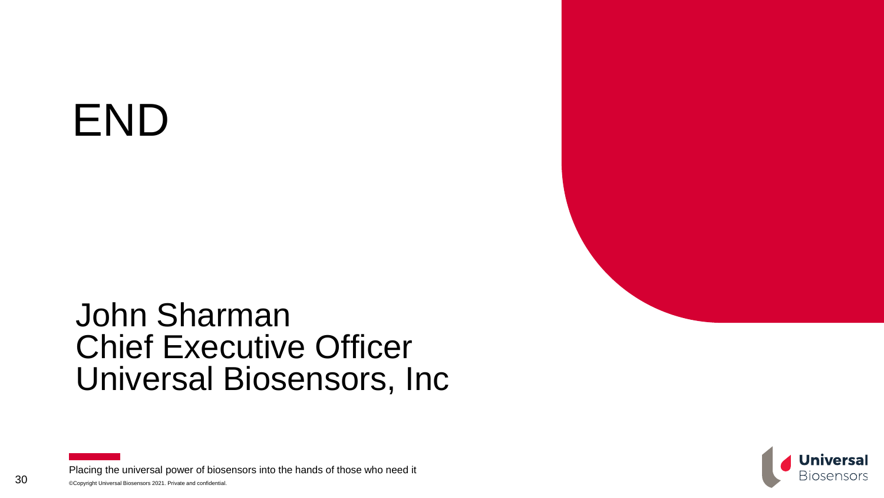# END

## John Sharman Chief Executive Officer Universal Biosensors, Inc

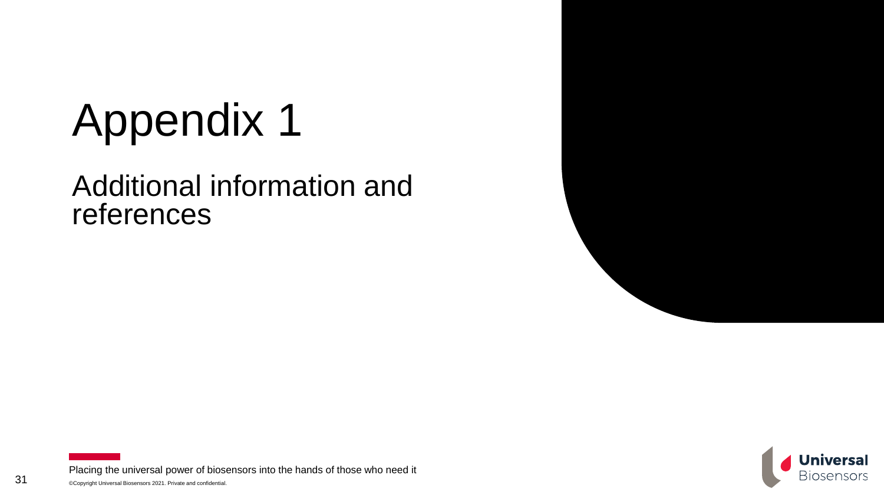# Appendix 1

### Additional information and references



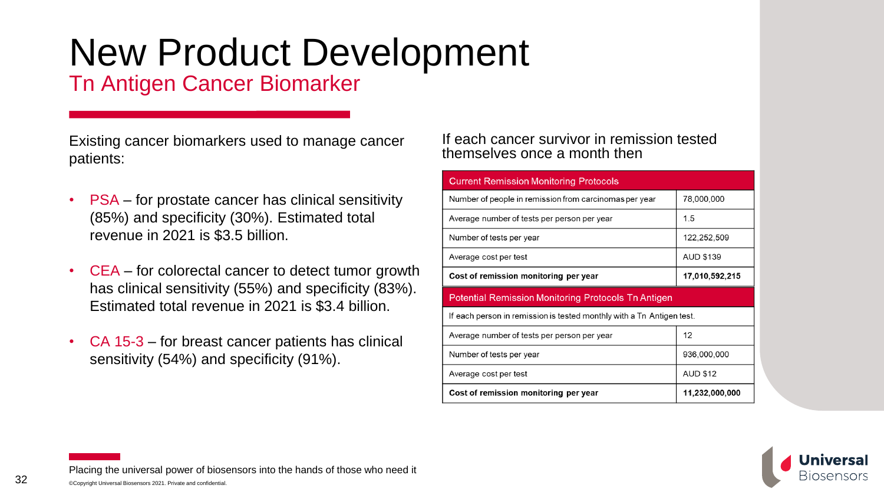### Tn Antigen Cancer Biomarker

Existing cancer biomarkers used to manage cancer patients:

- PSA for prostate cancer has clinical sensitivity (85%) and specificity (30%). Estimated total revenue in 2021 is \$3.5 billion.
- CEA for colorectal cancer to detect tumor growth has clinical sensitivity (55%) and specificity (83%). Estimated total revenue in 2021 is \$3.4 billion.
- CA 15-3 for breast cancer patients has clinical sensitivity (54%) and specificity (91%).

#### If each cancer survivor in remission tested themselves once a month then

| <b>Current Remission Monitoring Protocols</b>                         |                  |
|-----------------------------------------------------------------------|------------------|
| Number of people in remission from carcinomas per year                | 78,000,000       |
| Average number of tests per person per year                           | 1.5              |
| Number of tests per year                                              | 122,252,509      |
| Average cost per test                                                 | <b>AUD \$139</b> |
| Cost of remission monitoring per year                                 | 17,010,592,215   |
|                                                                       |                  |
| <b>Potential Remission Monitoring Protocols Tn Antigen</b>            |                  |
| If each person in remission is tested monthly with a Tn Antigen test. |                  |
| Average number of tests per person per year                           | 12               |
| Number of tests per year                                              | 936,000,000      |
| Average cost per test                                                 | <b>AUD \$12</b>  |